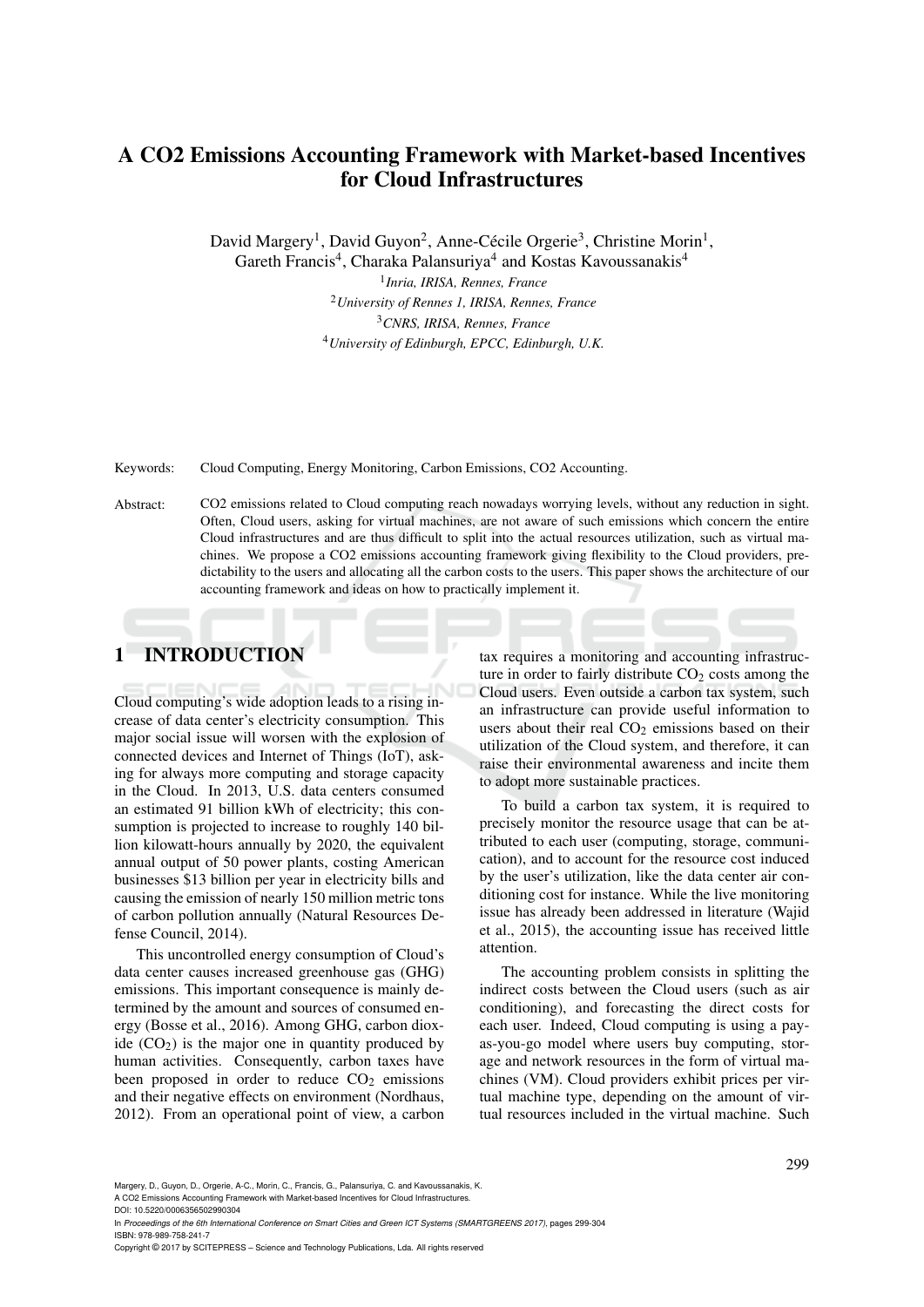# A CO2 Emissions Accounting Framework with Market-based Incentives for Cloud Infrastructures

David Margery<sup>1</sup>, David Guyon<sup>2</sup>, Anne-Cécile Orgerie<sup>3</sup>, Christine Morin<sup>1</sup>,

Gareth Francis<sup>4</sup>, Charaka Palansuriya<sup>4</sup> and Kostas Kavoussanakis<sup>4</sup>

 *Inria, IRISA, Rennes, France University of Rennes 1, IRISA, Rennes, France CNRS, IRISA, Rennes, France University of Edinburgh, EPCC, Edinburgh, U.K.*

Keywords: Cloud Computing, Energy Monitoring, Carbon Emissions, CO2 Accounting.

Abstract: CO2 emissions related to Cloud computing reach nowadays worrying levels, without any reduction in sight. Often, Cloud users, asking for virtual machines, are not aware of such emissions which concern the entire Cloud infrastructures and are thus difficult to split into the actual resources utilization, such as virtual machines. We propose a CO2 emissions accounting framework giving flexibility to the Cloud providers, predictability to the users and allocating all the carbon costs to the users. This paper shows the architecture of our accounting framework and ideas on how to practically implement it.

# 1 INTRODUCTION

Cloud computing's wide adoption leads to a rising increase of data center's electricity consumption. This major social issue will worsen with the explosion of connected devices and Internet of Things (IoT), asking for always more computing and storage capacity in the Cloud. In 2013, U.S. data centers consumed an estimated 91 billion kWh of electricity; this consumption is projected to increase to roughly 140 billion kilowatt-hours annually by 2020, the equivalent annual output of 50 power plants, costing American businesses \$13 billion per year in electricity bills and causing the emission of nearly 150 million metric tons of carbon pollution annually (Natural Resources Defense Council, 2014).

This uncontrolled energy consumption of Cloud's data center causes increased greenhouse gas (GHG) emissions. This important consequence is mainly determined by the amount and sources of consumed energy (Bosse et al., 2016). Among GHG, carbon dioxide  $(CO<sub>2</sub>)$  is the major one in quantity produced by human activities. Consequently, carbon taxes have been proposed in order to reduce  $CO<sub>2</sub>$  emissions and their negative effects on environment (Nordhaus, 2012). From an operational point of view, a carbon

tax requires a monitoring and accounting infrastructure in order to fairly distribute  $CO<sub>2</sub>$  costs among the Cloud users. Even outside a carbon tax system, such an infrastructure can provide useful information to users about their real  $CO<sub>2</sub>$  emissions based on their utilization of the Cloud system, and therefore, it can raise their environmental awareness and incite them to adopt more sustainable practices.

To build a carbon tax system, it is required to precisely monitor the resource usage that can be attributed to each user (computing, storage, communication), and to account for the resource cost induced by the user's utilization, like the data center air conditioning cost for instance. While the live monitoring issue has already been addressed in literature (Wajid et al., 2015), the accounting issue has received little attention.

The accounting problem consists in splitting the indirect costs between the Cloud users (such as air conditioning), and forecasting the direct costs for each user. Indeed, Cloud computing is using a payas-you-go model where users buy computing, storage and network resources in the form of virtual machines (VM). Cloud providers exhibit prices per virtual machine type, depending on the amount of virtual resources included in the virtual machine. Such

Margery, D., Guyon, D., Orgerie, A-C., Morin, C., Francis, G., Palansuriya, C. and Kavoussanakis, K. A CO2 Emissions Accounting Framework with Market-based Incentives for Cloud Infrastructures.

DOI: 10.5220/0006356502990304

In *Proceedings of the 6th International Conference on Smart Cities and Green ICT Systems (SMARTGREENS 2017)*, pages 299-304 ISBN: 978-989-758-241-7

Copyright © 2017 by SCITEPRESS – Science and Technology Publications, Lda. All rights reserved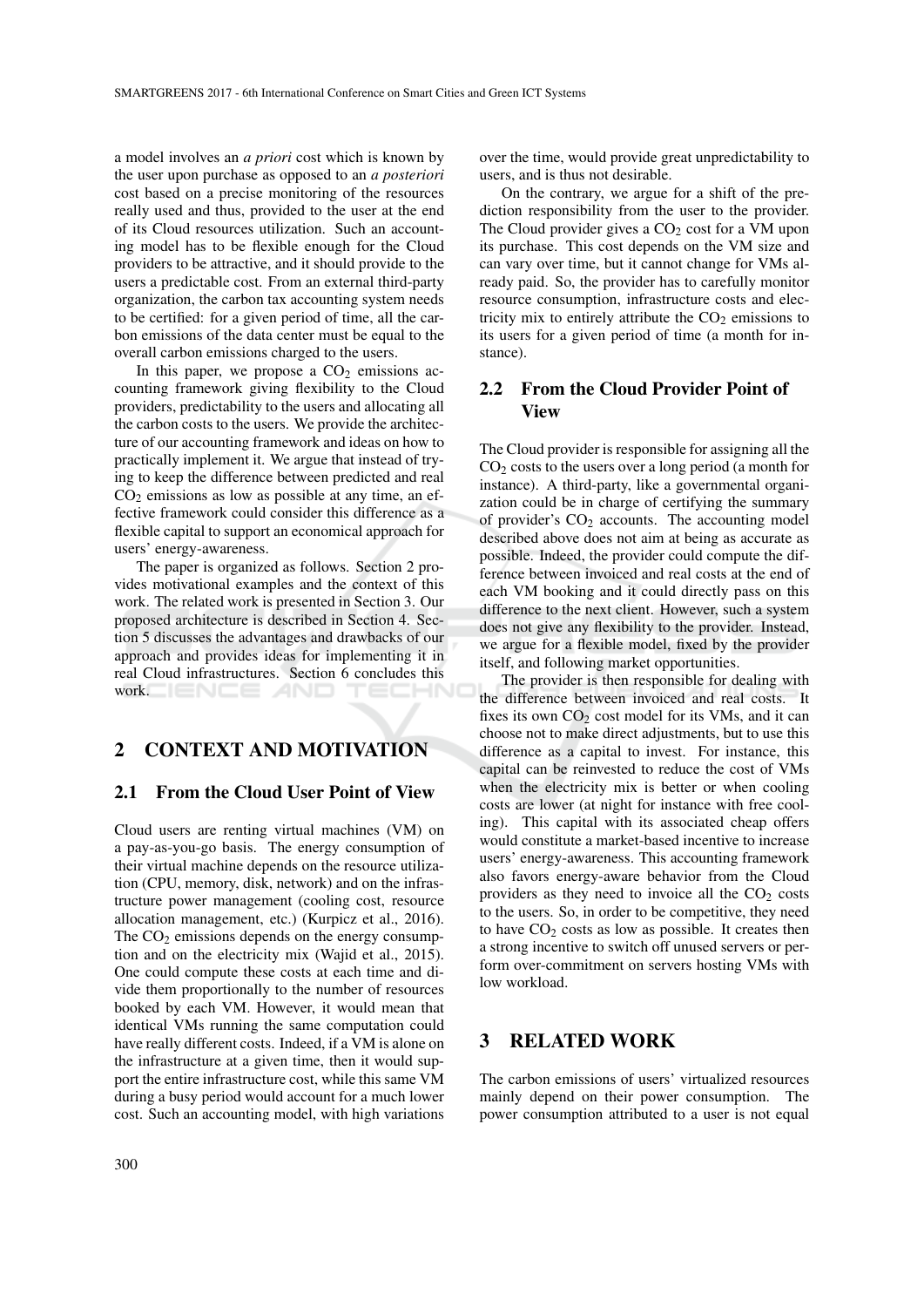a model involves an *a priori* cost which is known by the user upon purchase as opposed to an *a posteriori* cost based on a precise monitoring of the resources really used and thus, provided to the user at the end of its Cloud resources utilization. Such an accounting model has to be flexible enough for the Cloud providers to be attractive, and it should provide to the users a predictable cost. From an external third-party organization, the carbon tax accounting system needs to be certified: for a given period of time, all the carbon emissions of the data center must be equal to the overall carbon emissions charged to the users.

In this paper, we propose a  $CO<sub>2</sub>$  emissions accounting framework giving flexibility to the Cloud providers, predictability to the users and allocating all the carbon costs to the users. We provide the architecture of our accounting framework and ideas on how to practically implement it. We argue that instead of trying to keep the difference between predicted and real  $CO<sub>2</sub>$  emissions as low as possible at any time, an effective framework could consider this difference as a flexible capital to support an economical approach for users' energy-awareness.

The paper is organized as follows. Section 2 provides motivational examples and the context of this work. The related work is presented in Section 3. Our proposed architecture is described in Section 4. Section 5 discusses the advantages and drawbacks of our approach and provides ideas for implementing it in real Cloud infrastructures. Section 6 concludes this work.  $\Box$   $\Box$   $\Box$   $\Box$   $\Box$ TECHNO

# 2 CONTEXT AND MOTIVATION

#### 2.1 From the Cloud User Point of View

Cloud users are renting virtual machines (VM) on a pay-as-you-go basis. The energy consumption of their virtual machine depends on the resource utilization (CPU, memory, disk, network) and on the infrastructure power management (cooling cost, resource allocation management, etc.) (Kurpicz et al., 2016). The  $CO<sub>2</sub>$  emissions depends on the energy consumption and on the electricity mix (Wajid et al., 2015). One could compute these costs at each time and divide them proportionally to the number of resources booked by each VM. However, it would mean that identical VMs running the same computation could have really different costs. Indeed, if a VM is alone on the infrastructure at a given time, then it would support the entire infrastructure cost, while this same VM during a busy period would account for a much lower cost. Such an accounting model, with high variations

over the time, would provide great unpredictability to users, and is thus not desirable.

On the contrary, we argue for a shift of the prediction responsibility from the user to the provider. The Cloud provider gives a CO<sub>2</sub> cost for a VM upon its purchase. This cost depends on the VM size and can vary over time, but it cannot change for VMs already paid. So, the provider has to carefully monitor resource consumption, infrastructure costs and electricity mix to entirely attribute the  $CO<sub>2</sub>$  emissions to its users for a given period of time (a month for instance).

# 2.2 From the Cloud Provider Point of View

The Cloud provider is responsible for assigning all the  $CO<sub>2</sub> \text{ costs to the users over a long period (a month for }$ instance). A third-party, like a governmental organization could be in charge of certifying the summary of provider's  $CO<sub>2</sub>$  accounts. The accounting model described above does not aim at being as accurate as possible. Indeed, the provider could compute the difference between invoiced and real costs at the end of each VM booking and it could directly pass on this difference to the next client. However, such a system does not give any flexibility to the provider. Instead, we argue for a flexible model, fixed by the provider itself, and following market opportunities.

The provider is then responsible for dealing with the difference between invoiced and real costs. It fixes its own  $CO<sub>2</sub>$  cost model for its VMs, and it can choose not to make direct adjustments, but to use this difference as a capital to invest. For instance, this capital can be reinvested to reduce the cost of VMs when the electricity mix is better or when cooling costs are lower (at night for instance with free cooling). This capital with its associated cheap offers would constitute a market-based incentive to increase users' energy-awareness. This accounting framework also favors energy-aware behavior from the Cloud providers as they need to invoice all the  $CO<sub>2</sub> \text{ costs}$ to the users. So, in order to be competitive, they need to have  $CO<sub>2</sub>$  costs as low as possible. It creates then a strong incentive to switch off unused servers or perform over-commitment on servers hosting VMs with low workload.

## 3 RELATED WORK

The carbon emissions of users' virtualized resources mainly depend on their power consumption. The power consumption attributed to a user is not equal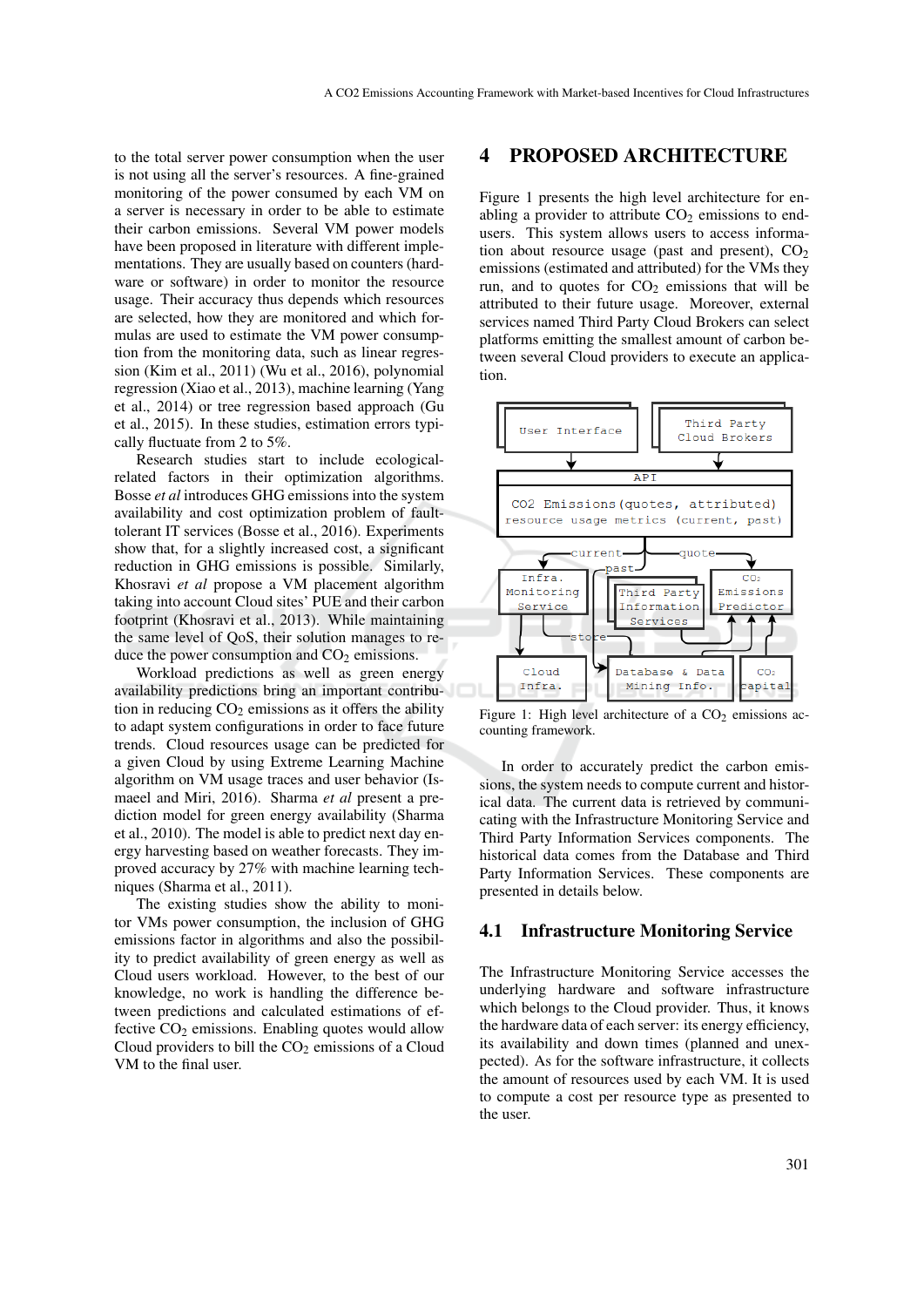to the total server power consumption when the user is not using all the server's resources. A fine-grained monitoring of the power consumed by each VM on a server is necessary in order to be able to estimate their carbon emissions. Several VM power models have been proposed in literature with different implementations. They are usually based on counters (hardware or software) in order to monitor the resource usage. Their accuracy thus depends which resources are selected, how they are monitored and which formulas are used to estimate the VM power consumption from the monitoring data, such as linear regression (Kim et al., 2011) (Wu et al., 2016), polynomial regression (Xiao et al., 2013), machine learning (Yang et al., 2014) or tree regression based approach (Gu et al., 2015). In these studies, estimation errors typically fluctuate from 2 to 5%.

Research studies start to include ecologicalrelated factors in their optimization algorithms. Bosse *et al* introduces GHG emissions into the system availability and cost optimization problem of faulttolerant IT services (Bosse et al., 2016). Experiments show that, for a slightly increased cost, a significant reduction in GHG emissions is possible. Similarly, Khosravi *et al* propose a VM placement algorithm taking into account Cloud sites' PUE and their carbon footprint (Khosravi et al., 2013). While maintaining the same level of QoS, their solution manages to reduce the power consumption and  $CO<sub>2</sub>$  emissions.

Workload predictions as well as green energy availability predictions bring an important contribution in reducing  $CO<sub>2</sub>$  emissions as it offers the ability to adapt system configurations in order to face future trends. Cloud resources usage can be predicted for a given Cloud by using Extreme Learning Machine algorithm on VM usage traces and user behavior (Ismaeel and Miri, 2016). Sharma *et al* present a prediction model for green energy availability (Sharma et al., 2010). The model is able to predict next day energy harvesting based on weather forecasts. They improved accuracy by 27% with machine learning techniques (Sharma et al., 2011).

The existing studies show the ability to monitor VMs power consumption, the inclusion of GHG emissions factor in algorithms and also the possibility to predict availability of green energy as well as Cloud users workload. However, to the best of our knowledge, no work is handling the difference between predictions and calculated estimations of effective  $CO<sub>2</sub>$  emissions. Enabling quotes would allow Cloud providers to bill the  $CO<sub>2</sub>$  emissions of a Cloud VM to the final user.

### 4 PROPOSED ARCHITECTURE

Figure 1 presents the high level architecture for enabling a provider to attribute  $CO<sub>2</sub>$  emissions to endusers. This system allows users to access information about resource usage (past and present),  $CO<sub>2</sub>$ emissions (estimated and attributed) for the VMs they run, and to quotes for  $CO<sub>2</sub>$  emissions that will be attributed to their future usage. Moreover, external services named Third Party Cloud Brokers can select platforms emitting the smallest amount of carbon between several Cloud providers to execute an application.



Figure 1: High level architecture of a  $CO<sub>2</sub>$  emissions accounting framework.

In order to accurately predict the carbon emissions, the system needs to compute current and historical data. The current data is retrieved by communicating with the Infrastructure Monitoring Service and Third Party Information Services components. The historical data comes from the Database and Third Party Information Services. These components are presented in details below.

#### 4.1 Infrastructure Monitoring Service

The Infrastructure Monitoring Service accesses the underlying hardware and software infrastructure which belongs to the Cloud provider. Thus, it knows the hardware data of each server: its energy efficiency, its availability and down times (planned and unexpected). As for the software infrastructure, it collects the amount of resources used by each VM. It is used to compute a cost per resource type as presented to the user.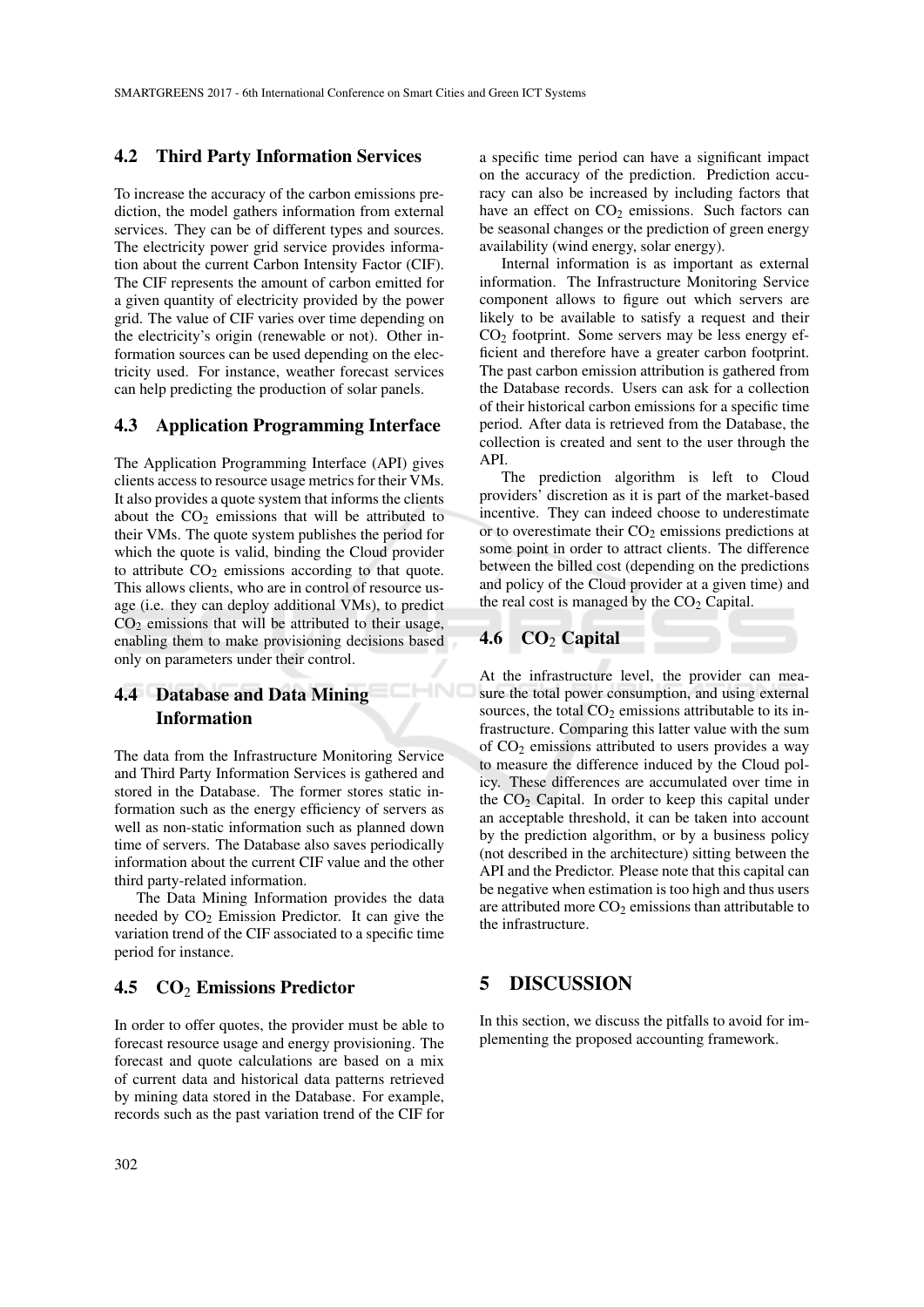#### 4.2 Third Party Information Services

To increase the accuracy of the carbon emissions prediction, the model gathers information from external services. They can be of different types and sources. The electricity power grid service provides information about the current Carbon Intensity Factor (CIF). The CIF represents the amount of carbon emitted for a given quantity of electricity provided by the power grid. The value of CIF varies over time depending on the electricity's origin (renewable or not). Other information sources can be used depending on the electricity used. For instance, weather forecast services can help predicting the production of solar panels.

### 4.3 Application Programming Interface

The Application Programming Interface (API) gives clients access to resource usage metrics for their VMs. It also provides a quote system that informs the clients about the  $CO<sub>2</sub>$  emissions that will be attributed to their VMs. The quote system publishes the period for which the quote is valid, binding the Cloud provider to attribute  $CO<sub>2</sub>$  emissions according to that quote. This allows clients, who are in control of resource usage (i.e. they can deploy additional VMs), to predict  $CO<sub>2</sub>$  emissions that will be attributed to their usage, enabling them to make provisioning decisions based only on parameters under their control.

# 4.4 Database and Data Mining Information

The data from the Infrastructure Monitoring Service and Third Party Information Services is gathered and stored in the Database. The former stores static information such as the energy efficiency of servers as well as non-static information such as planned down time of servers. The Database also saves periodically information about the current CIF value and the other third party-related information.

The Data Mining Information provides the data needed by  $CO<sub>2</sub>$  Emission Predictor. It can give the variation trend of the CIF associated to a specific time period for instance.

#### 4.5  $CO<sub>2</sub>$  Emissions Predictor

In order to offer quotes, the provider must be able to forecast resource usage and energy provisioning. The forecast and quote calculations are based on a mix of current data and historical data patterns retrieved by mining data stored in the Database. For example, records such as the past variation trend of the CIF for

a specific time period can have a significant impact on the accuracy of the prediction. Prediction accuracy can also be increased by including factors that have an effect on  $CO<sub>2</sub>$  emissions. Such factors can be seasonal changes or the prediction of green energy availability (wind energy, solar energy).

Internal information is as important as external information. The Infrastructure Monitoring Service component allows to figure out which servers are likely to be available to satisfy a request and their  $CO<sub>2</sub>$  footprint. Some servers may be less energy efficient and therefore have a greater carbon footprint. The past carbon emission attribution is gathered from the Database records. Users can ask for a collection of their historical carbon emissions for a specific time period. After data is retrieved from the Database, the collection is created and sent to the user through the API.

The prediction algorithm is left to Cloud providers' discretion as it is part of the market-based incentive. They can indeed choose to underestimate or to overestimate their  $CO<sub>2</sub>$  emissions predictions at some point in order to attract clients. The difference between the billed cost (depending on the predictions and policy of the Cloud provider at a given time) and the real cost is managed by the  $CO<sub>2</sub>$  Capital.

# 4.6  $CO<sub>2</sub> Capital$

**HN** 

At the infrastructure level, the provider can measure the total power consumption, and using external sources, the total  $CO<sub>2</sub>$  emissions attributable to its infrastructure. Comparing this latter value with the sum of  $CO<sub>2</sub>$  emissions attributed to users provides a way to measure the difference induced by the Cloud policy. These differences are accumulated over time in the  $CO<sub>2</sub>$  Capital. In order to keep this capital under an acceptable threshold, it can be taken into account by the prediction algorithm, or by a business policy (not described in the architecture) sitting between the API and the Predictor. Please note that this capital can be negative when estimation is too high and thus users are attributed more  $CO<sub>2</sub>$  emissions than attributable to the infrastructure.

### 5 DISCUSSION

In this section, we discuss the pitfalls to avoid for implementing the proposed accounting framework.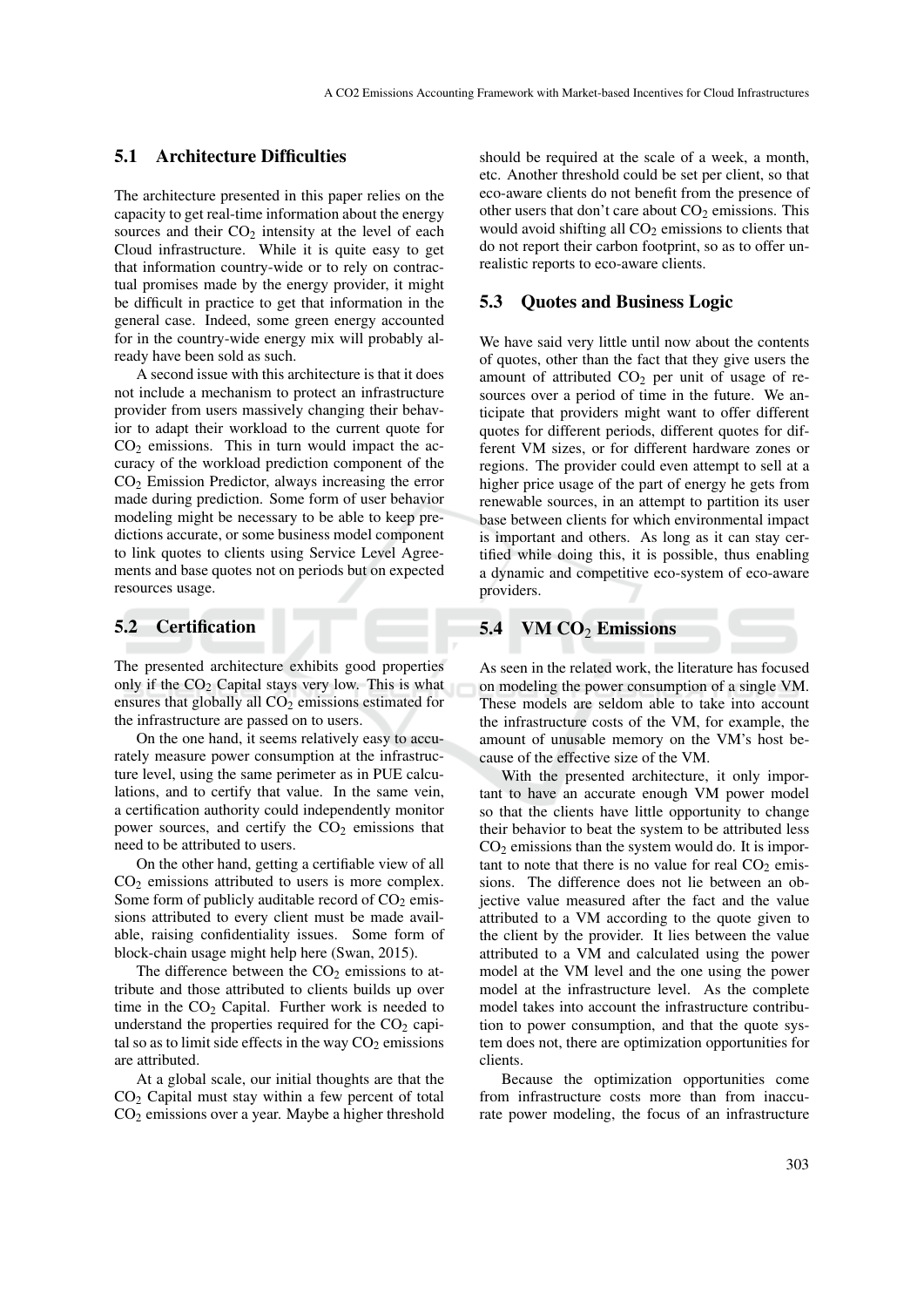### 5.1 Architecture Difficulties

The architecture presented in this paper relies on the capacity to get real-time information about the energy sources and their  $CO<sub>2</sub>$  intensity at the level of each Cloud infrastructure. While it is quite easy to get that information country-wide or to rely on contractual promises made by the energy provider, it might be difficult in practice to get that information in the general case. Indeed, some green energy accounted for in the country-wide energy mix will probably already have been sold as such.

A second issue with this architecture is that it does not include a mechanism to protect an infrastructure provider from users massively changing their behavior to adapt their workload to the current quote for  $CO<sub>2</sub>$  emissions. This in turn would impact the accuracy of the workload prediction component of the CO<sup>2</sup> Emission Predictor, always increasing the error made during prediction. Some form of user behavior modeling might be necessary to be able to keep predictions accurate, or some business model component to link quotes to clients using Service Level Agreements and base quotes not on periods but on expected resources usage.

#### 5.2 Certification

The presented architecture exhibits good properties only if the  $CO<sub>2</sub>$  Capital stays very low. This is what ensures that globally all CO<sub>2</sub> emissions estimated for the infrastructure are passed on to users.

On the one hand, it seems relatively easy to accurately measure power consumption at the infrastructure level, using the same perimeter as in PUE calculations, and to certify that value. In the same vein, a certification authority could independently monitor power sources, and certify the  $CO<sub>2</sub>$  emissions that need to be attributed to users.

On the other hand, getting a certifiable view of all  $CO<sub>2</sub>$  emissions attributed to users is more complex. Some form of publicly auditable record of  $CO<sub>2</sub>$  emissions attributed to every client must be made available, raising confidentiality issues. Some form of block-chain usage might help here (Swan, 2015).

The difference between the  $CO<sub>2</sub>$  emissions to attribute and those attributed to clients builds up over time in the  $CO<sub>2</sub>$  Capital. Further work is needed to understand the properties required for the  $CO<sub>2</sub>$  capital so as to limit side effects in the way  $CO<sub>2</sub>$  emissions are attributed.

At a global scale, our initial thoughts are that the  $CO<sub>2</sub>$  Capital must stay within a few percent of total  $CO<sub>2</sub>$  emissions over a year. Maybe a higher threshold

should be required at the scale of a week, a month, etc. Another threshold could be set per client, so that eco-aware clients do not benefit from the presence of other users that don't care about  $CO<sub>2</sub>$  emissions. This would avoid shifting all  $CO<sub>2</sub>$  emissions to clients that do not report their carbon footprint, so as to offer unrealistic reports to eco-aware clients.

#### 5.3 Quotes and Business Logic

We have said very little until now about the contents of quotes, other than the fact that they give users the amount of attributed  $CO<sub>2</sub>$  per unit of usage of resources over a period of time in the future. We anticipate that providers might want to offer different quotes for different periods, different quotes for different VM sizes, or for different hardware zones or regions. The provider could even attempt to sell at a higher price usage of the part of energy he gets from renewable sources, in an attempt to partition its user base between clients for which environmental impact is important and others. As long as it can stay certified while doing this, it is possible, thus enabling a dynamic and competitive eco-system of eco-aware providers.

#### 5.4 VM  $CO<sub>2</sub>$  Emissions

As seen in the related work, the literature has focused on modeling the power consumption of a single VM. These models are seldom able to take into account the infrastructure costs of the VM, for example, the amount of unusable memory on the VM's host because of the effective size of the VM.

With the presented architecture, it only important to have an accurate enough VM power model so that the clients have little opportunity to change their behavior to beat the system to be attributed less  $CO<sub>2</sub>$  emissions than the system would do. It is important to note that there is no value for real  $CO<sub>2</sub>$  emissions. The difference does not lie between an objective value measured after the fact and the value attributed to a VM according to the quote given to the client by the provider. It lies between the value attributed to a VM and calculated using the power model at the VM level and the one using the power model at the infrastructure level. As the complete model takes into account the infrastructure contribution to power consumption, and that the quote system does not, there are optimization opportunities for clients.

Because the optimization opportunities come from infrastructure costs more than from inaccurate power modeling, the focus of an infrastructure